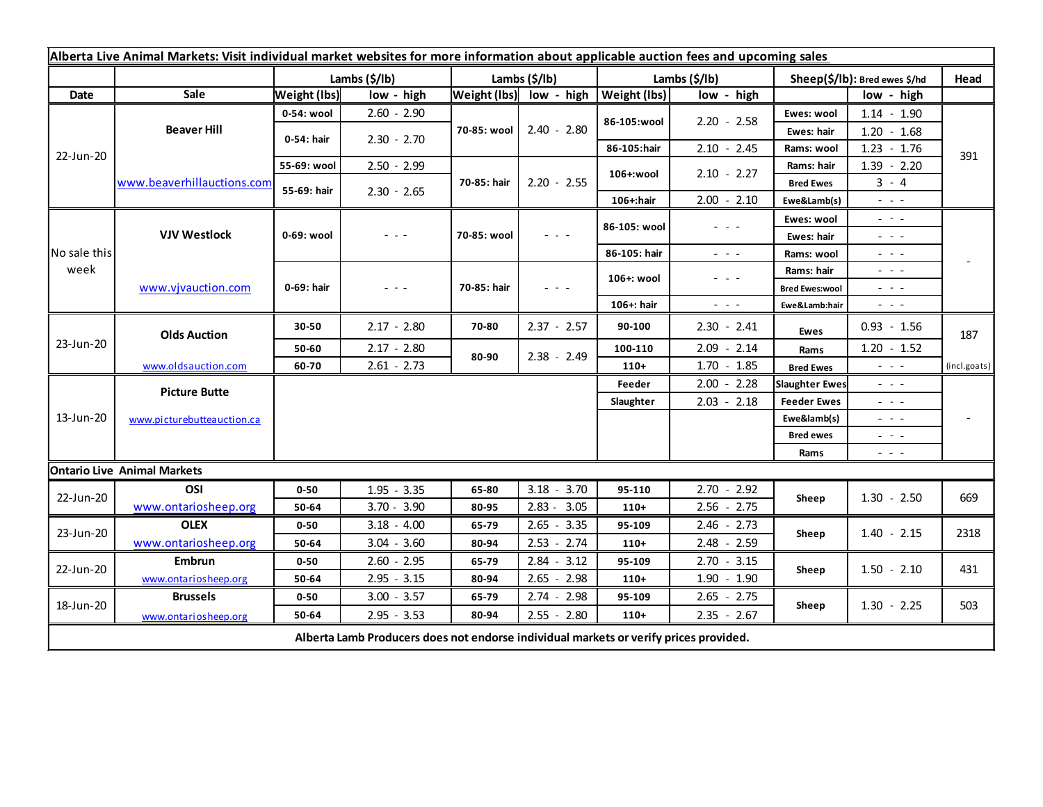| Alberta Live Animal Markets: Visit individual market websites for more information about applicable auction fees and upcoming sales |                                    |                     |               |                         |                                                                                                                        |               |                                                                                                                           |                               |                                                                                                                        |              |
|-------------------------------------------------------------------------------------------------------------------------------------|------------------------------------|---------------------|---------------|-------------------------|------------------------------------------------------------------------------------------------------------------------|---------------|---------------------------------------------------------------------------------------------------------------------------|-------------------------------|------------------------------------------------------------------------------------------------------------------------|--------------|
|                                                                                                                                     |                                    |                     | Lambs (\$/lb) | Lambs $(\frac{2}{3})$   |                                                                                                                        | Lambs (\$/lb) |                                                                                                                           | Sheep(\$/lb): Bred ewes \$/hd |                                                                                                                        | Head         |
| Date                                                                                                                                | Sale                               | <b>Weight (lbs)</b> | low - high    | Weight (lbs) low - high |                                                                                                                        | Weight (lbs)  | low - high                                                                                                                |                               | low - high                                                                                                             |              |
| 22-Jun-20                                                                                                                           | <b>Beaver Hill</b>                 | 0-54: wool          | $2.60 - 2.90$ | 70-85: wool             | $2.40 - 2.80$                                                                                                          | 86-105:wool   | $2.20 - 2.58$                                                                                                             | Ewes: wool                    | $1.14 - 1.90$                                                                                                          |              |
|                                                                                                                                     |                                    | 0-54: hair          | $2.30 - 2.70$ |                         |                                                                                                                        |               |                                                                                                                           | Ewes: hair                    | $1.20 - 1.68$                                                                                                          |              |
|                                                                                                                                     |                                    |                     |               |                         |                                                                                                                        | 86-105:hair   | $2.10 - 2.45$                                                                                                             | Rams: wool                    | $1.23 - 1.76$                                                                                                          | 391          |
|                                                                                                                                     | www.beaverhillauctions.com         | 55-69: wool         | $2.50 - 2.99$ | 70-85: hair             | $2.20 - 2.55$                                                                                                          | 106+:wool     | $2.10 - 2.27$                                                                                                             | Rams: hair                    | $1.39 - 2.20$                                                                                                          |              |
|                                                                                                                                     |                                    | 55-69: hair         | $2.30 - 2.65$ |                         |                                                                                                                        |               |                                                                                                                           | <b>Bred Ewes</b>              | $3 - 4$                                                                                                                |              |
|                                                                                                                                     |                                    |                     |               |                         |                                                                                                                        | 106+:hair     | $2.00 - 2.10$                                                                                                             | Ewe&Lamb(s)                   | $\frac{1}{2} \left( \frac{1}{2} \right) \left( \frac{1}{2} \right) \left( \frac{1}{2} \right)$                         |              |
| No sale this<br>week                                                                                                                | <b>VJV Westlock</b>                | 0-69: wool          | - - -         | 70-85: wool             | $\frac{1}{2} \left( \frac{1}{2} \right) \frac{1}{2} \left( \frac{1}{2} \right) \frac{1}{2} \left( \frac{1}{2} \right)$ | 86-105: wool  | $  -$                                                                                                                     | Ewes: wool                    | $\omega_{\rm c} \sim \omega_{\rm c}$                                                                                   |              |
|                                                                                                                                     |                                    |                     |               |                         |                                                                                                                        |               |                                                                                                                           | Ewes: hair                    | $\frac{1}{2} \left( \frac{1}{2} \right) = \frac{1}{2} \left( \frac{1}{2} \right)$                                      |              |
|                                                                                                                                     |                                    |                     |               |                         |                                                                                                                        | 86-105: hair  | $\sim$ $\sim$ $\sim$                                                                                                      | Rams: wool                    | $  -$                                                                                                                  |              |
|                                                                                                                                     | www.vjvauction.com                 | 0-69: hair          | - - -         | 70-85: hair             | $  -$                                                                                                                  | 106+: wool    | $\frac{1}{2} \left( \frac{1}{2} \right) \left( \frac{1}{2} \right) \left( \frac{1}{2} \right) \left( \frac{1}{2} \right)$ | Rams: hair                    | $\omega_{\rm{eff}}$ and $\omega_{\rm{eff}}$                                                                            |              |
|                                                                                                                                     |                                    |                     |               |                         |                                                                                                                        |               |                                                                                                                           | <b>Bred Ewes:wool</b>         | $  -$                                                                                                                  |              |
|                                                                                                                                     |                                    |                     |               |                         |                                                                                                                        | 106+: hair    | $ -$                                                                                                                      | Ewe&Lamb:hair                 | $\frac{1}{2} \left( \frac{1}{2} \right) \frac{1}{2} \left( \frac{1}{2} \right) \frac{1}{2} \left( \frac{1}{2} \right)$ |              |
| 23-Jun-20                                                                                                                           | <b>Olds Auction</b>                | 30-50               | $2.17 - 2.80$ | 70-80                   | $2.37 - 2.57$                                                                                                          | 90-100        | $2.30 - 2.41$                                                                                                             | Ewes                          | $0.93 - 1.56$                                                                                                          | 187          |
|                                                                                                                                     |                                    | 50-60               | $2.17 - 2.80$ | 80-90                   | $2.38 - 2.49$                                                                                                          | 100-110       | $2.09 - 2.14$                                                                                                             | Rams                          | $1.20 - 1.52$                                                                                                          |              |
|                                                                                                                                     | www.oldsauction.com                | 60-70               | $2.61 - 2.73$ |                         |                                                                                                                        | $110+$        | $1.70 - 1.85$                                                                                                             | <b>Bred Ewes</b>              | $ -$                                                                                                                   | (incl.goats) |
| 13-Jun-20                                                                                                                           | <b>Picture Butte</b>               |                     |               |                         |                                                                                                                        | Feeder        | $2.00 - 2.28$                                                                                                             | <b>Slaughter Ewes</b>         | $ -$                                                                                                                   |              |
|                                                                                                                                     | www.picturebutteauction.ca         |                     |               |                         |                                                                                                                        | Slaughter     | $2.03 - 2.18$                                                                                                             | <b>Feeder Ewes</b>            | - - -                                                                                                                  |              |
|                                                                                                                                     |                                    |                     |               |                         |                                                                                                                        |               |                                                                                                                           | Ewe&lamb(s)                   | - - -                                                                                                                  |              |
|                                                                                                                                     |                                    |                     |               |                         |                                                                                                                        |               |                                                                                                                           | <b>Bred ewes</b>              | $\frac{1}{2} \left( \frac{1}{2} \right) \frac{1}{2} \left( \frac{1}{2} \right) \frac{1}{2} \left( \frac{1}{2} \right)$ |              |
|                                                                                                                                     |                                    |                     |               |                         |                                                                                                                        |               |                                                                                                                           | Rams                          | $\frac{1}{2} \left( \frac{1}{2} \right) \frac{1}{2} \left( \frac{1}{2} \right) \frac{1}{2} \left( \frac{1}{2} \right)$ |              |
|                                                                                                                                     | <b>Ontario Live Animal Markets</b> |                     |               |                         |                                                                                                                        |               |                                                                                                                           |                               |                                                                                                                        |              |
| 22-Jun-20                                                                                                                           | OSI                                | $0 - 50$            | $1.95 - 3.35$ | 65-80                   | $3.18 - 3.70$                                                                                                          | 95-110        | $2.70 - 2.92$                                                                                                             | Sheep                         | $1.30 - 2.50$                                                                                                          | 669          |
|                                                                                                                                     | www.ontariosheep.org               | 50-64               | $3.70 - 3.90$ | 80-95                   | $2.83 - 3.05$                                                                                                          | $110+$        | $2.56 - 2.75$                                                                                                             |                               |                                                                                                                        |              |
| 23-Jun-20                                                                                                                           | <b>OLEX</b>                        | $0 - 50$            | $3.18 - 4.00$ | 65-79                   | $2.65 - 3.35$                                                                                                          | 95-109        | $2.46 - 2.73$                                                                                                             | Sheep                         | $1.40 - 2.15$                                                                                                          | 2318         |
|                                                                                                                                     | www.ontariosheep.org               | 50-64               | $3.04 - 3.60$ | 80-94                   | $2.53 - 2.74$                                                                                                          | $110+$        | $2.48 - 2.59$                                                                                                             |                               |                                                                                                                        |              |
| 22-Jun-20                                                                                                                           | <b>Embrun</b>                      | $0 - 50$            | $2.60 - 2.95$ | 65-79                   | $2.84 - 3.12$                                                                                                          | 95-109        | $2.70 - 3.15$                                                                                                             | Sheep                         | $1.50 - 2.10$                                                                                                          | 431          |
|                                                                                                                                     | www.ontariosheep.org               | 50-64               | $2.95 - 3.15$ | 80-94                   | $2.65 - 2.98$                                                                                                          | $110+$        | $1.90 - 1.90$                                                                                                             |                               |                                                                                                                        |              |
| 18-Jun-20                                                                                                                           | <b>Brussels</b>                    | $0 - 50$            | $3.00 - 3.57$ | 65-79                   | $2.74 - 2.98$                                                                                                          | 95-109        | $2.65 - 2.75$                                                                                                             | Sheep                         | $1.30 - 2.25$                                                                                                          | 503          |
|                                                                                                                                     | www.ontariosheep.org               | 50-64               | $2.95 - 3.53$ | 80-94                   | $2.55 - 2.80$                                                                                                          | $110+$        | $2.35 - 2.67$                                                                                                             |                               |                                                                                                                        |              |
| Alberta Lamb Producers does not endorse individual markets or verify prices provided.                                               |                                    |                     |               |                         |                                                                                                                        |               |                                                                                                                           |                               |                                                                                                                        |              |